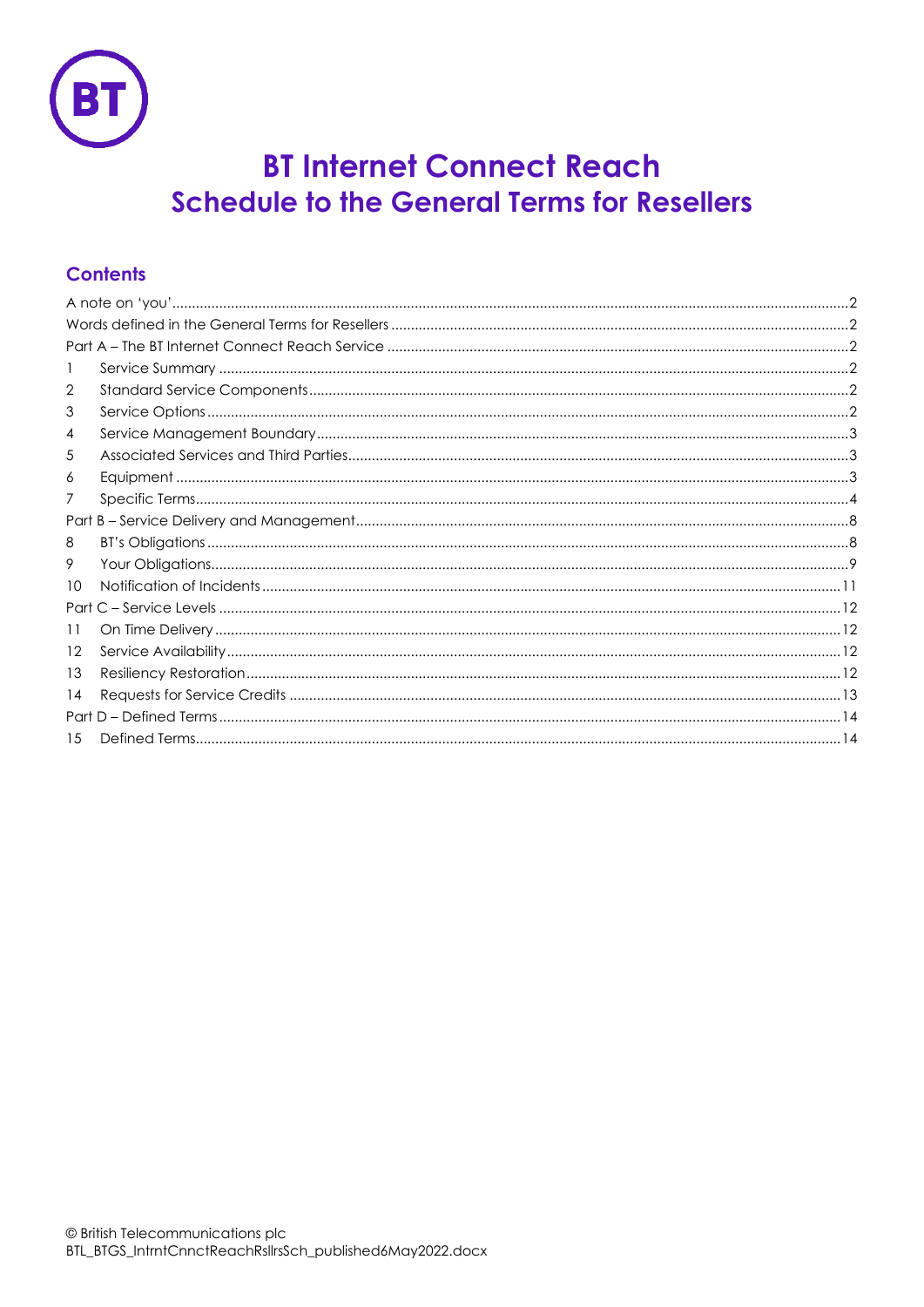

# **BT Internet Connect Reach Schedule to the General Terms for Resellers**

# **Contents**

| 2   |  |  |
|-----|--|--|
| 3   |  |  |
| 4   |  |  |
| 5   |  |  |
| 6   |  |  |
| 7   |  |  |
|     |  |  |
| 8   |  |  |
| 9   |  |  |
| 10  |  |  |
|     |  |  |
| 11  |  |  |
| 12  |  |  |
| 13  |  |  |
| 14  |  |  |
|     |  |  |
| 1.5 |  |  |
|     |  |  |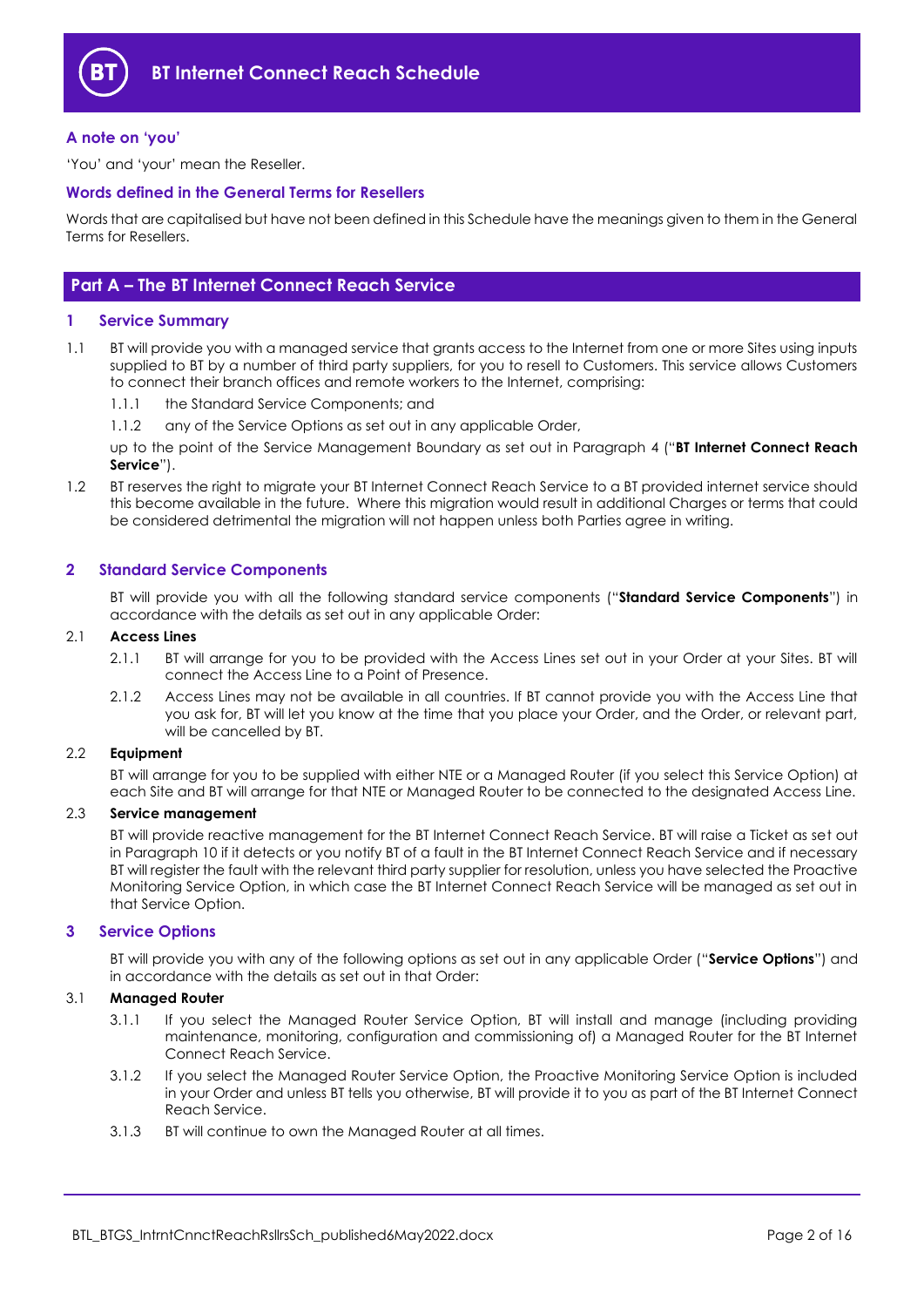

## <span id="page-1-0"></span>**A note on 'you'**

'You' and 'your' mean the Reseller.

## <span id="page-1-1"></span>**Words defined in the General Terms for Resellers**

Words that are capitalised but have not been defined in this Schedule have the meanings given to them in the General Terms for Resellers.

## <span id="page-1-2"></span>**Part A – The BT Internet Connect Reach Service**

## <span id="page-1-3"></span>**1 Service Summary**

- 1.1 BT will provide you with a managed service that grants access to the Internet from one or more Sites using inputs supplied to BT by a number of third party suppliers, for you to resell to Customers. This service allows Customers to connect their branch offices and remote workers to the Internet, comprising:
	- 1.1.1 the Standard Service Components; and
	- 1.1.2 any of the Service Options as set out in any applicable Order,

up to the point of the Service Management Boundary as set out in Paragraph [4](#page-2-0) ("**BT Internet Connect Reach Service**").

1.2 BT reserves the right to migrate your BT Internet Connect Reach Service to a BT provided internet service should this become available in the future. Where this migration would result in additional Charges or terms that could be considered detrimental the migration will not happen unless both Parties agree in writing.

## <span id="page-1-4"></span>**2 Standard Service Components**

BT will provide you with all the following standard service components ("**Standard Service Components**") in accordance with the details as set out in any applicable Order:

#### 2.1 **Access Lines**

- 2.1.1 BT will arrange for you to be provided with the Access Lines set out in your Order at your Sites. BT will connect the Access Line to a Point of Presence.
- 2.1.2 Access Lines may not be available in all countries. If BT cannot provide you with the Access Line that you ask for, BT will let you know at the time that you place your Order, and the Order, or relevant part, will be cancelled by BT.

## 2.2 **Equipment**

BT will arrange for you to be supplied with either NTE or a Managed Router (if you select this Service Option) at each Site and BT will arrange for that NTE or Managed Router to be connected to the designated Access Line.

#### 2.3 **Service management**

BT will provide reactive management for the BT Internet Connect Reach Service. BT will raise a Ticket as set out in Paragraph [10](#page-10-0) if it detects or you notify BT of a fault in the BT Internet Connect Reach Service and if necessary BT will register the fault with the relevant third party supplier for resolution, unless you have selected the Proactive Monitoring Service Option, in which case the BT Internet Connect Reach Service will be managed as set out in that Service Option.

## <span id="page-1-5"></span>**3 Service Options**

BT will provide you with any of the following options as set out in any applicable Order ("**Service Options**") and in accordance with the details as set out in that Order:

## 3.1 **Managed Router**

- 3.1.1 If you select the Managed Router Service Option, BT will install and manage (including providing maintenance, monitoring, configuration and commissioning of) a Managed Router for the BT Internet Connect Reach Service.
- 3.1.2 If you select the Managed Router Service Option, the Proactive Monitoring Service Option is included in your Order and unless BT tells you otherwise, BT will provide it to you as part of the BT Internet Connect Reach Service.
- 3.1.3 BT will continue to own the Managed Router at all times.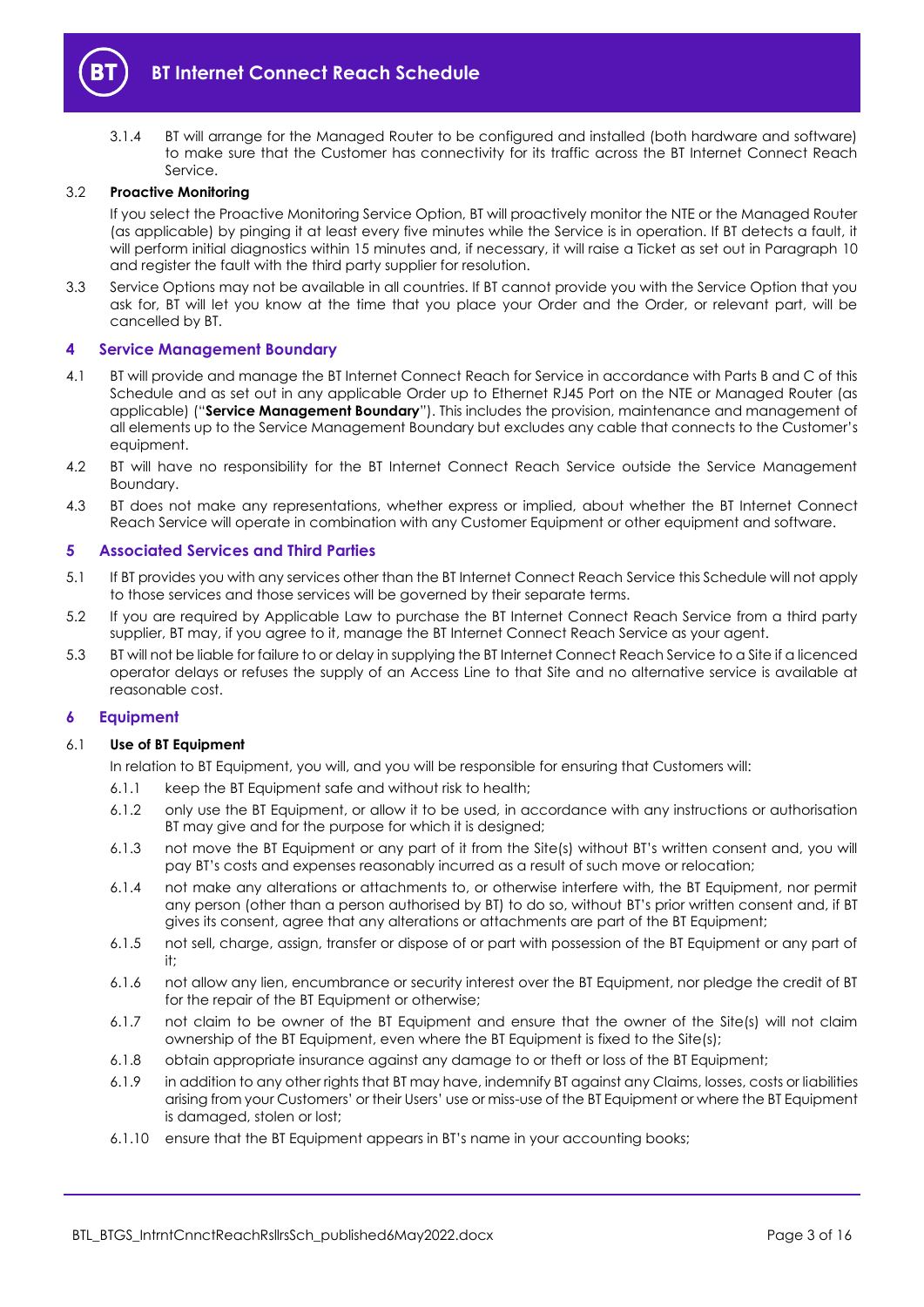

3.1.4 BT will arrange for the Managed Router to be configured and installed (both hardware and software) to make sure that the Customer has connectivity for its traffic across the BT Internet Connect Reach Service.

## 3.2 **Proactive Monitoring**

If you select the Proactive Monitoring Service Option, BT will proactively monitor the NTE or the Managed Router (as applicable) by pinging it at least every five minutes while the Service is in operation. If BT detects a fault, it will perform initial diagnostics within 15 minutes and, if necessary, it will raise a Ticket as set out in Paragraph [10](#page-10-0) and register the fault with the third party supplier for resolution.

3.3 Service Options may not be available in all countries. If BT cannot provide you with the Service Option that you ask for, BT will let you know at the time that you place your Order and the Order, or relevant part, will be cancelled by BT.

## <span id="page-2-0"></span>**4 Service Management Boundary**

- <span id="page-2-3"></span>4.1 BT will provide and manage the BT Internet Connect Reach for Service in accordance with Parts B and C of this Schedule and as set out in any applicable Order up to Ethernet RJ45 Port on the NTE or Managed Router (as applicable) ("**Service Management Boundary**"). This includes the provision, maintenance and management of all elements up to the Service Management Boundary but excludes any cable that connects to the Customer's equipment.
- 4.2 BT will have no responsibility for the BT Internet Connect Reach Service outside the Service Management Boundary.
- 4.3 BT does not make any representations, whether express or implied, about whether the BT Internet Connect Reach Service will operate in combination with any Customer Equipment or other equipment and software.

#### <span id="page-2-1"></span>**5 Associated Services and Third Parties**

- 5.1 If BT provides you with any services other than the BT Internet Connect Reach Service this Schedule will not apply to those services and those services will be governed by their separate terms.
- 5.2 If you are required by Applicable Law to purchase the BT Internet Connect Reach Service from a third party supplier, BT may, if you agree to it, manage the BT Internet Connect Reach Service as your agent.
- 5.3 BT will not be liable for failure to or delay in supplying the BT Internet Connect Reach Service to a Site if a licenced operator delays or refuses the supply of an Access Line to that Site and no alternative service is available at reasonable cost.

## <span id="page-2-2"></span>**6 Equipment**

#### 6.1 **Use of BT Equipment**

In relation to BT Equipment, you will, and you will be responsible for ensuring that Customers will:

- 6.1.1 keep the BT Equipment safe and without risk to health;
- 6.1.2 only use the BT Equipment, or allow it to be used, in accordance with any instructions or authorisation BT may give and for the purpose for which it is designed;
- 6.1.3 not move the BT Equipment or any part of it from the Site(s) without BT's written consent and, you will pay BT's costs and expenses reasonably incurred as a result of such move or relocation;
- 6.1.4 not make any alterations or attachments to, or otherwise interfere with, the BT Equipment, nor permit any person (other than a person authorised by BT) to do so, without BT's prior written consent and, if BT gives its consent, agree that any alterations or attachments are part of the BT Equipment;
- 6.1.5 not sell, charge, assign, transfer or dispose of or part with possession of the BT Equipment or any part of it;
- 6.1.6 not allow any lien, encumbrance or security interest over the BT Equipment, nor pledge the credit of BT for the repair of the BT Equipment or otherwise;
- 6.1.7 not claim to be owner of the BT Equipment and ensure that the owner of the Site(s) will not claim ownership of the BT Equipment, even where the BT Equipment is fixed to the Site(s);
- 6.1.8 obtain appropriate insurance against any damage to or theft or loss of the BT Equipment;
- 6.1.9 in addition to any other rights that BT may have, indemnify BT against any Claims, losses, costs or liabilities arising from your Customers' or their Users' use or miss-use of the BT Equipment or where the BT Equipment is damaged, stolen or lost;
- 6.1.10 ensure that the BT Equipment appears in BT's name in your accounting books;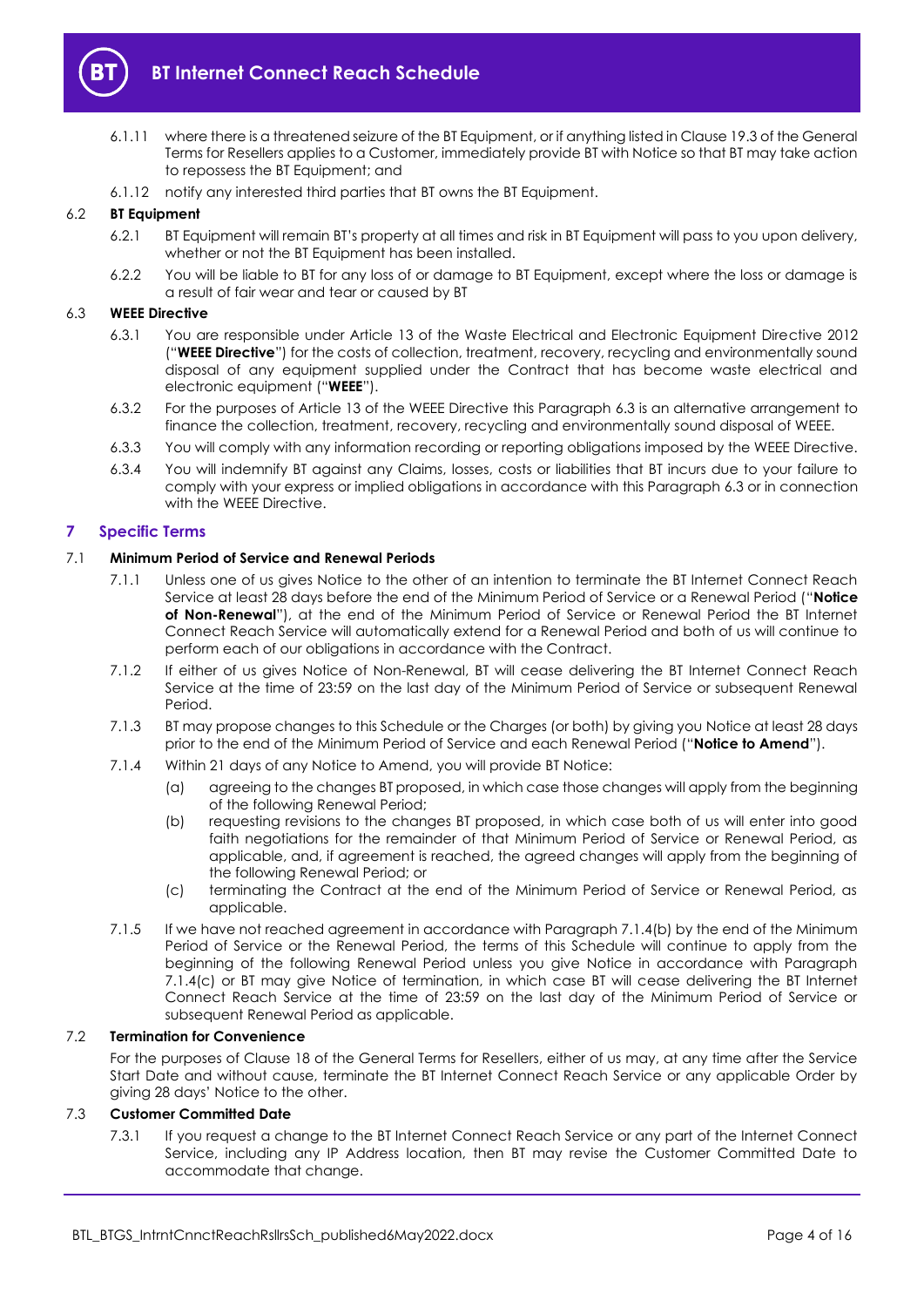

- 6.1.11 where there is a threatened seizure of the BT Equipment, or if anything listed in Clause 19.3 of the General Terms for Resellers applies to a Customer, immediately provide BT with Notice so that BT may take action to repossess the BT Equipment; and
- 6.1.12 notify any interested third parties that BT owns the BT Equipment.

## 6.2 **BT Equipment**

- 6.2.1 BT Equipment will remain BT's property at all times and risk in BT Equipment will pass to you upon delivery, whether or not the BT Equipment has been installed.
- 6.2.2 You will be liable to BT for any loss of or damage to BT Equipment, except where the loss or damage is a result of fair wear and tear or caused by BT

#### <span id="page-3-5"></span><span id="page-3-1"></span>6.3 **WEEE Directive**

- 6.3.1 You are responsible under Article 13 of the Waste Electrical and Electronic Equipment Directive 2012 ("**WEEE Directive**") for the costs of collection, treatment, recovery, recycling and environmentally sound disposal of any equipment supplied under the Contract that has become waste electrical and electronic equipment ("**WEEE**").
- 6.3.2 For the purposes of Article 13 of the WEEE Directive this Paragraph [6.3](#page-3-1) is an alternative arrangement to finance the collection, treatment, recovery, recycling and environmentally sound disposal of WEEE.
- 6.3.3 You will comply with any information recording or reporting obligations imposed by the WEEE Directive.
- 6.3.4 You will indemnify BT against any Claims, losses, costs or liabilities that BT incurs due to your failure to comply with your express or implied obligations in accordance with this Paragrap[h 6.3](#page-3-1) or in connection with the WEEE Directive.

## <span id="page-3-0"></span>**7 Specific Terms**

#### <span id="page-3-4"></span>7.1 **Minimum Period of Service and Renewal Periods**

- 7.1.1 Unless one of us gives Notice to the other of an intention to terminate the BT Internet Connect Reach Service at least 28 days before the end of the Minimum Period of Service or a Renewal Period ("**Notice of Non-Renewal**"), at the end of the Minimum Period of Service or Renewal Period the BT Internet Connect Reach Service will automatically extend for a Renewal Period and both of us will continue to perform each of our obligations in accordance with the Contract.
- 7.1.2 If either of us gives Notice of Non-Renewal, BT will cease delivering the BT Internet Connect Reach Service at the time of 23:59 on the last day of the Minimum Period of Service or subsequent Renewal Period.
- 7.1.3 BT may propose changes to this Schedule or the Charges (or both) by giving you Notice at least 28 days prior to the end of the Minimum Period of Service and each Renewal Period ("**Notice to Amend**").
- <span id="page-3-2"></span>7.1.4 Within 21 days of any Notice to Amend, you will provide BT Notice:
	- (a) agreeing to the changes BT proposed, in which case those changes will apply from the beginning of the following Renewal Period;
	- (b) requesting revisions to the changes BT proposed, in which case both of us will enter into good faith negotiations for the remainder of that Minimum Period of Service or Renewal Period, as applicable, and, if agreement is reached, the agreed changes will apply from the beginning of the following Renewal Period; or
	- (c) terminating the Contract at the end of the Minimum Period of Service or Renewal Period, as applicable.
- <span id="page-3-3"></span>7.1.5 If we have not reached agreement in accordance with Paragraph [7.1.4\(b\)](#page-3-2) by the end of the Minimum Period of Service or the Renewal Period, the terms of this Schedule will continue to apply from the beginning of the following Renewal Period unless you give Notice in accordance with Paragraph [7.1.4\(c\)](#page-3-3) or BT may give Notice of termination, in which case BT will cease delivering the BT Internet Connect Reach Service at the time of 23:59 on the last day of the Minimum Period of Service or subsequent Renewal Period as applicable.

#### 7.2 **Termination for Convenience**

For the purposes of Clause 18 of the General Terms for Resellers, either of us may, at any time after the Service Start Date and without cause, terminate the BT Internet Connect Reach Service or any applicable Order by giving 28 days' Notice to the other.

## 7.3 **Customer Committed Date**

7.3.1 If you request a change to the BT Internet Connect Reach Service or any part of the Internet Connect Service, including any IP Address location, then BT may revise the Customer Committed Date to accommodate that change.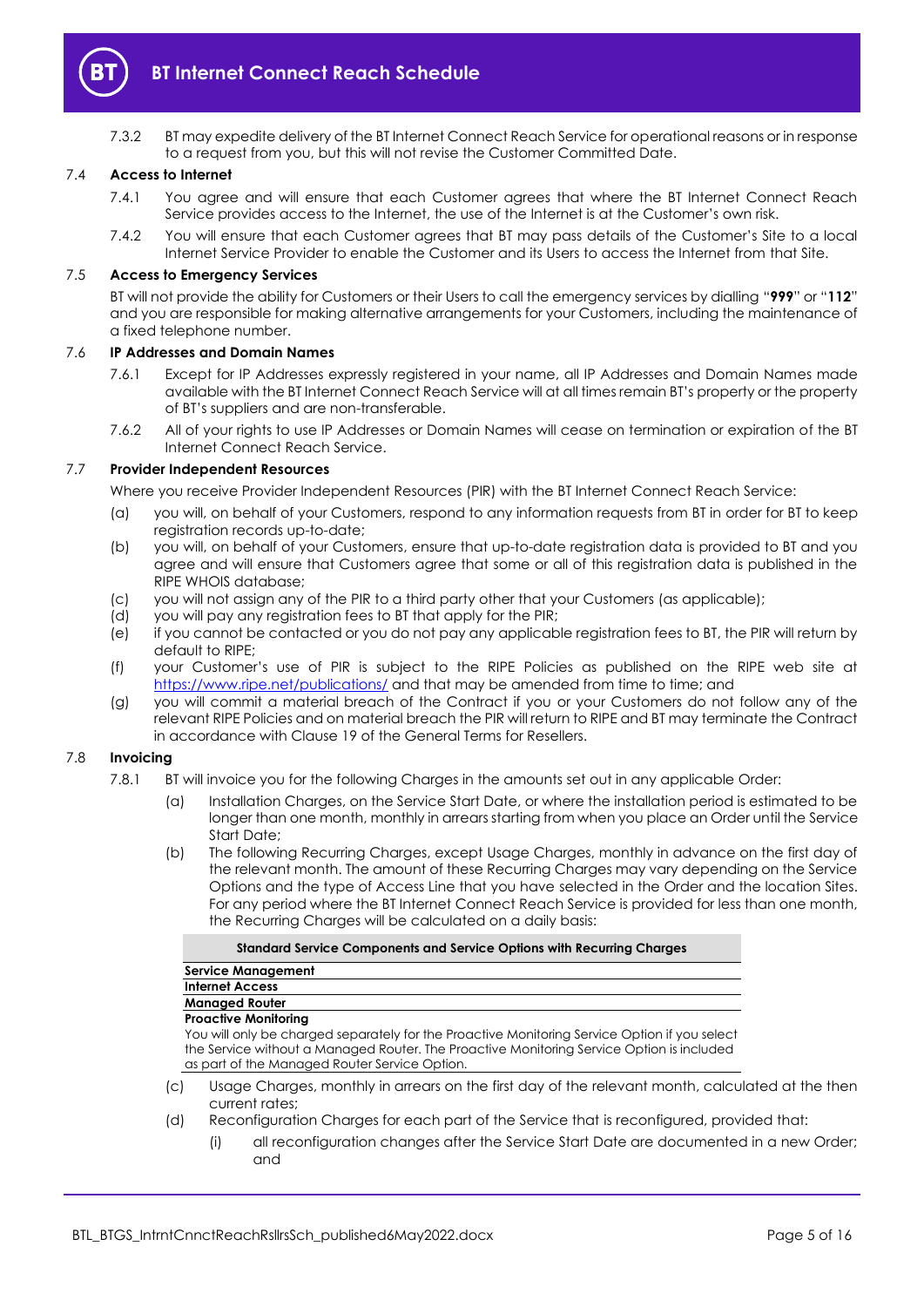

7.3.2 BT may expedite delivery of the BT Internet Connect Reach Service for operational reasons or in response to a request from you, but this will not revise the Customer Committed Date.

## 7.4 **Access to Internet**

- 7.4.1 You agree and will ensure that each Customer agrees that where the BT Internet Connect Reach Service provides access to the Internet, the use of the Internet is at the Customer's own risk.
- 7.4.2 You will ensure that each Customer agrees that BT may pass details of the Customer's Site to a local Internet Service Provider to enable the Customer and its Users to access the Internet from that Site.

## 7.5 **Access to Emergency Services**

BT will not provide the ability for Customers or their Users to call the emergency services by dialling "**999**" or "**112**" and you are responsible for making alternative arrangements for your Customers, including the maintenance of a fixed telephone number.

#### 7.6 **IP Addresses and Domain Names**

- 7.6.1 Except for IP Addresses expressly registered in your name, all IP Addresses and Domain Names made available with the BT Internet Connect Reach Service will at all times remain BT's property or the property of BT's suppliers and are non-transferable.
- 7.6.2 All of your rights to use IP Addresses or Domain Names will cease on termination or expiration of the BT Internet Connect Reach Service.

## 7.7 **Provider Independent Resources**

Where you receive Provider Independent Resources (PIR) with the BT Internet Connect Reach Service:

- (a) you will, on behalf of your Customers, respond to any information requests from BT in order for BT to keep registration records up-to-date;
- (b) you will, on behalf of your Customers, ensure that up-to-date registration data is provided to BT and you agree and will ensure that Customers agree that some or all of this registration data is published in the RIPE WHOIS database;
- (c) you will not assign any of the PIR to a third party other that your Customers (as applicable);
- (d) you will pay any registration fees to BT that apply for the PIR;
- (e) if you cannot be contacted or you do not pay any applicable registration fees to BT, the PIR will return by default to RIPE;
- (f) your Customer's use of PIR is subject to the RIPE Policies as published on the RIPE web site at <https://www.ripe.net/publications/> and that may be amended from time to time; and
- (g) you will commit a material breach of the Contract if you or your Customers do not follow any of the relevant RIPE Policies and on material breach the PIR will return to RIPE and BT may terminate the Contract in accordance with Clause 19 of the General Terms for Resellers.

#### 7.8 **Invoicing**

- 7.8.1 BT will invoice you for the following Charges in the amounts set out in any applicable Order:
	- (a) Installation Charges, on the Service Start Date, or where the installation period is estimated to be longer than one month, monthly in arrears starting from when you place an Order until the Service Start Date;
	- (b) The following Recurring Charges, except Usage Charges, monthly in advance on the first day of the relevant month. The amount of these Recurring Charges may vary depending on the Service Options and the type of Access Line that you have selected in the Order and the location Sites. For any period where the BT Internet Connect Reach Service is provided for less than one month, the Recurring Charges will be calculated on a daily basis:

#### **Standard Service Components and Service Options with Recurring Charges**

| <b>Service Management</b>                                                                  |  |  |
|--------------------------------------------------------------------------------------------|--|--|
| <b>Internet Access</b>                                                                     |  |  |
| <b>Managed Router</b>                                                                      |  |  |
| <b>Proactive Monitoring</b>                                                                |  |  |
| Vou ullantude abaracd soperatoly for the Dreagtive Menitorina Convice Option if you soleet |  |  |

You will only be charged separately for the Proactive Monitoring Service ( the Service without a Managed Router. The Proactive Monitoring Service Option is included as part of the Managed Router Service Option.

- (c) Usage Charges, monthly in arrears on the first day of the relevant month, calculated at the then current rates;
- (d) Reconfiguration Charges for each part of the Service that is reconfigured, provided that:
	- (i) all reconfiguration changes after the Service Start Date are documented in a new Order; and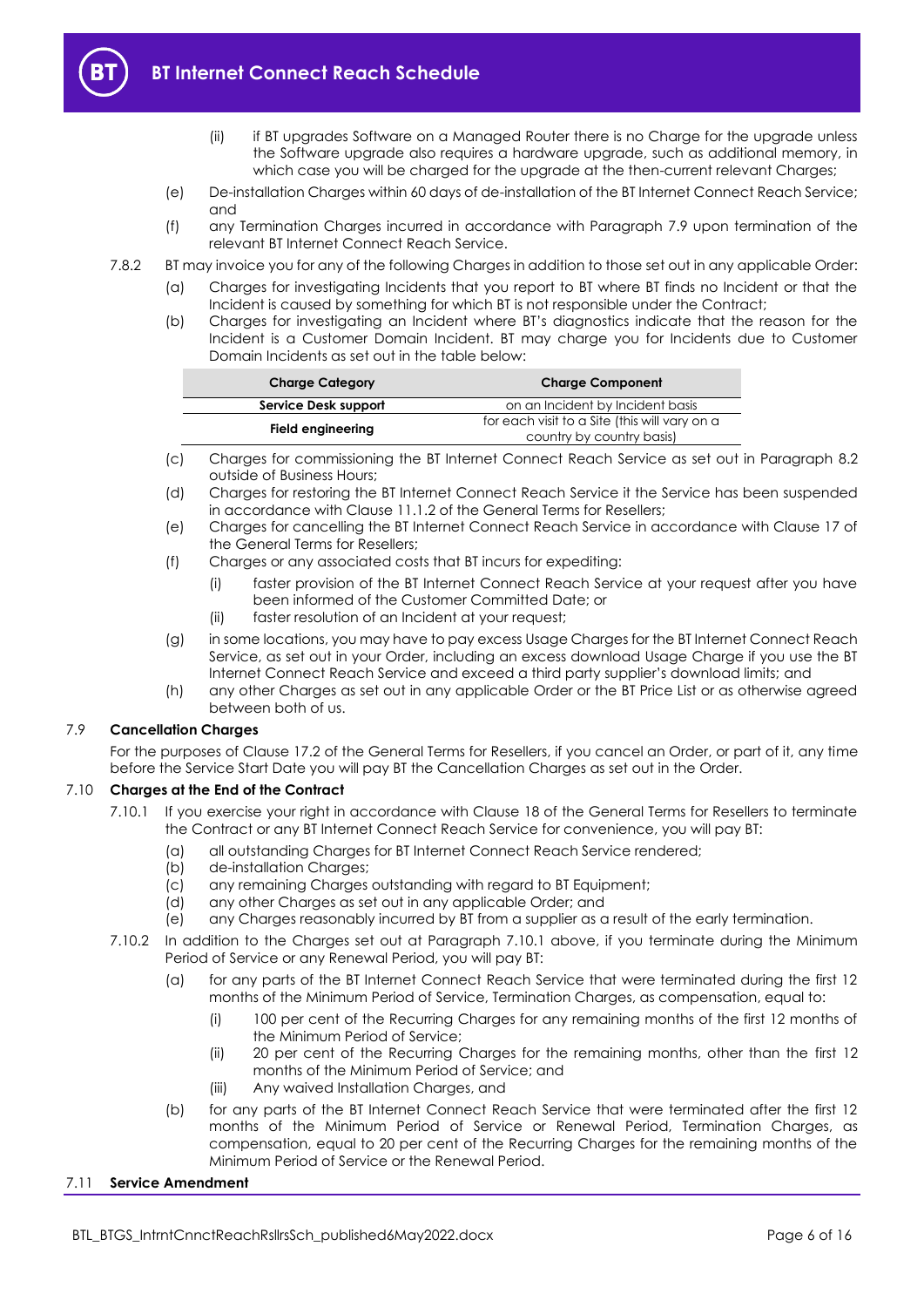

- (ii) if BT upgrades Software on a Managed Router there is no Charge for the upgrade unless the Software upgrade also requires a hardware upgrade, such as additional memory, in which case you will be charged for the upgrade at the then-current relevant Charges;
- (e) De-installation Charges within 60 days of de-installation of the BT Internet Connect Reach Service; and
- (f) any Termination Charges incurred in accordance with Paragraph [7.9](#page-5-0) upon termination of the relevant BT Internet Connect Reach Service.
- 7.8.2 BT may invoice you for any of the following Charges in addition to those set out in any applicable Order:
	- (a) Charges for investigating Incidents that you report to BT where BT finds no Incident or that the Incident is caused by something for which BT is not responsible under the Contract;
	- (b) Charges for investigating an Incident where BT's diagnostics indicate that the reason for the Incident is a Customer Domain Incident. BT may charge you for Incidents due to Customer Domain Incidents as set out in the table below:

| <b>Charge Category</b> | <b>Charge Component</b>                       |
|------------------------|-----------------------------------------------|
| Service Desk support   | on an Incident by Incident basis              |
| Field engineering      | for each visit to a Site (this will vary on a |
|                        | country by country basis)                     |

- (c) Charges for commissioning the BT Internet Connect Reach Service as set out in Paragraph [8.2](#page-7-2) outside of Business Hours;
- (d) Charges for restoring the BT Internet Connect Reach Service it the Service has been suspended in accordance with Clause 11.1.2 of the General Terms for Resellers;
- (e) Charges for cancelling the BT Internet Connect Reach Service in accordance with Clause 17 of the General Terms for Resellers;
- (f) Charges or any associated costs that BT incurs for expediting:
	- (i) faster provision of the BT Internet Connect Reach Service at your request after you have been informed of the Customer Committed Date; or
	- (ii) faster resolution of an Incident at your request;
- (g) in some locations, you may have to pay excess Usage Charges for the BT Internet Connect Reach Service, as set out in your Order, including an excess download Usage Charge if you use the BT Internet Connect Reach Service and exceed a third party supplier's download limits; and
- (h) any other Charges as set out in any applicable Order or the BT Price List or as otherwise agreed between both of us.

## <span id="page-5-0"></span>7.9 **Cancellation Charges**

For the purposes of Clause 17.2 of the General Terms for Resellers, if you cancel an Order, or part of it, any time before the Service Start Date you will pay BT the Cancellation Charges as set out in the Order.

## <span id="page-5-1"></span>7.10 **Charges at the End of the Contract**

- 7.10.1 If you exercise your right in accordance with Clause 18 of the General Terms for Resellers to terminate the Contract or any BT Internet Connect Reach Service for convenience, you will pay BT:
	- (a) all outstanding Charges for BT Internet Connect Reach Service rendered;
	- (b) de-installation Charges;
	- (c) any remaining Charges outstanding with regard to BT Equipment;
	- (d) any other Charges as set out in any applicable Order; and
	- (e) any Charges reasonably incurred by BT from a supplier as a result of the early termination.
- 7.10.2 In addition to the Charges set out at Paragraph [7.10.1](#page-5-1) above, if you terminate during the Minimum Period of Service or any Renewal Period, you will pay BT:
	- (a) for any parts of the BT Internet Connect Reach Service that were terminated during the first 12 months of the Minimum Period of Service, Termination Charges, as compensation, equal to:
		- (i) 100 per cent of the Recurring Charges for any remaining months of the first 12 months of the Minimum Period of Service;
		- (ii) 20 per cent of the Recurring Charges for the remaining months, other than the first 12 months of the Minimum Period of Service; and
		- (iii) Any waived Installation Charges, and
	- (b) for any parts of the BT Internet Connect Reach Service that were terminated after the first 12 months of the Minimum Period of Service or Renewal Period, Termination Charges, as compensation, equal to 20 per cent of the Recurring Charges for the remaining months of the Minimum Period of Service or the Renewal Period.

#### 7.11 **Service Amendment**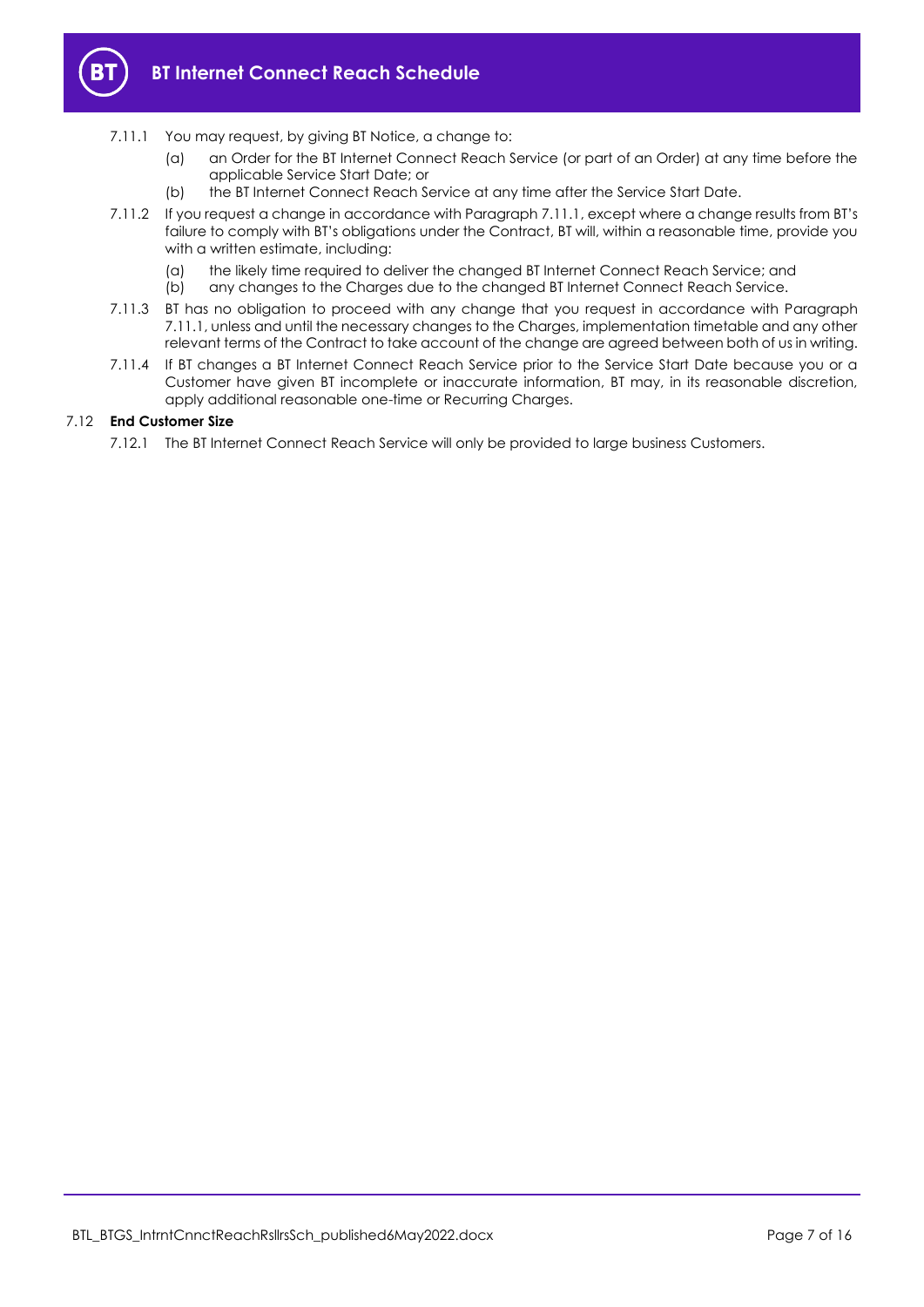

- <span id="page-6-0"></span>7.11.1 You may request, by giving BT Notice, a change to:
	- (a) an Order for the BT Internet Connect Reach Service (or part of an Order) at any time before the applicable Service Start Date; or
	- (b) the BT Internet Connect Reach Service at any time after the Service Start Date.
- 7.11.2 If you request a change in accordance with Paragraph [7.11.1](#page-6-0), except where a change results from BT's failure to comply with BT's obligations under the Contract, BT will, within a reasonable time, provide you with a written estimate, including:
	- (a) the likely time required to deliver the changed BT Internet Connect Reach Service; and
	- (b) any changes to the Charges due to the changed BT Internet Connect Reach Service.
- <span id="page-6-1"></span>7.11.3 BT has no obligation to proceed with any change that you request in accordance with Paragraph [7.11.1,](#page-6-0) unless and until the necessary changes to the Charges, implementation timetable and any other relevant terms of the Contract to take account of the change are agreed between both of us in writing.
- 7.11.4 If BT changes a BT Internet Connect Reach Service prior to the Service Start Date because you or a Customer have given BT incomplete or inaccurate information, BT may, in its reasonable discretion, apply additional reasonable one-time or Recurring Charges.

## 7.12 **End Customer Size**

7.12.1 The BT Internet Connect Reach Service will only be provided to large business Customers.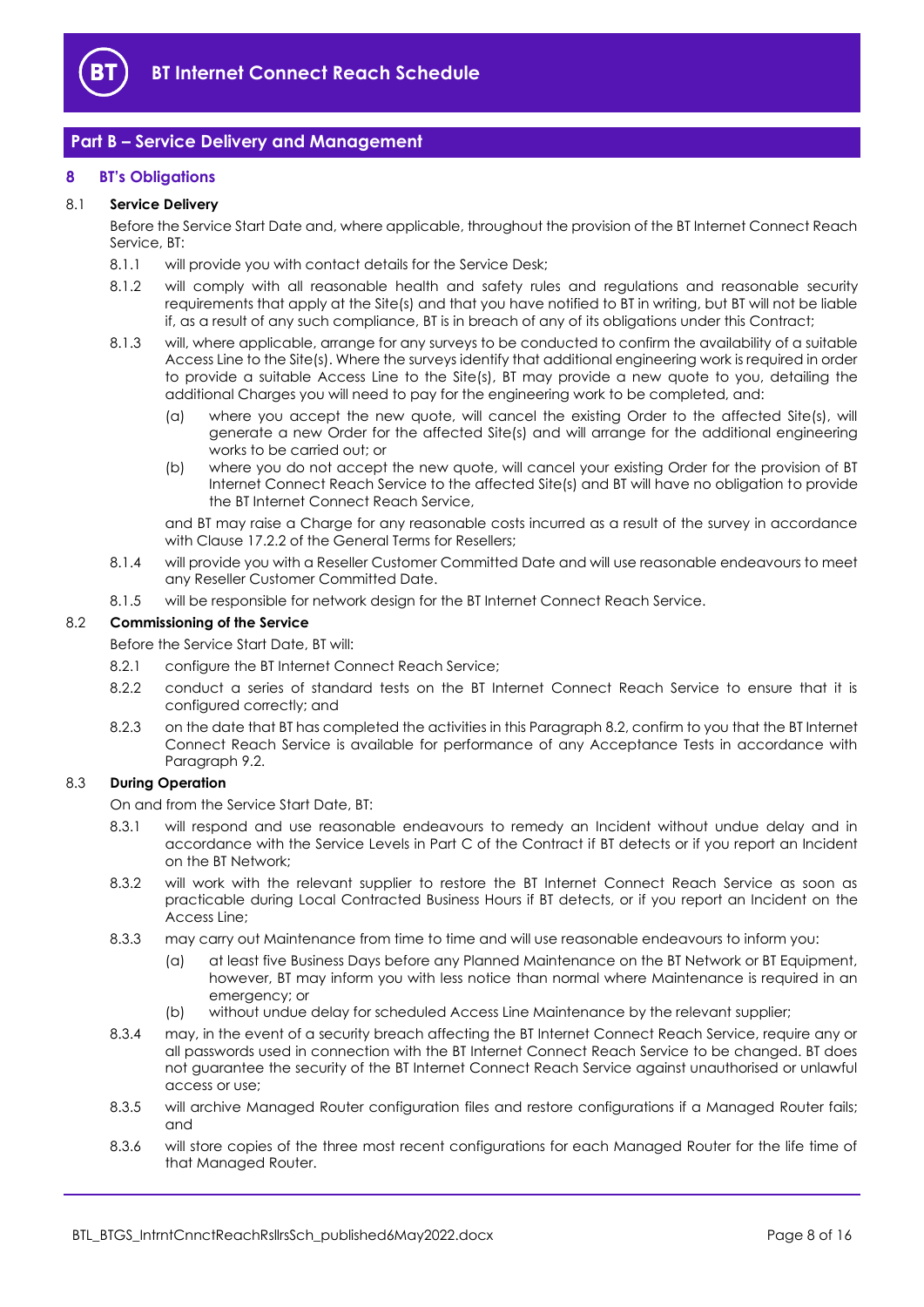

# <span id="page-7-0"></span>**Part B – Service Delivery and Management**

## <span id="page-7-1"></span>**8 BT's Obligations**

## 8.1 **Service Delivery**

Before the Service Start Date and, where applicable, throughout the provision of the BT Internet Connect Reach Service, BT:

- 8.1.1 will provide you with contact details for the Service Desk;
- 8.1.2 will comply with all reasonable health and safety rules and regulations and reasonable security requirements that apply at the Site(s) and that you have notified to BT in writing, but BT will not be liable if, as a result of any such compliance, BT is in breach of any of its obligations under this Contract;
- 8.1.3 will, where applicable, arrange for any surveys to be conducted to confirm the availability of a suitable Access Line to the Site(s). Where the surveys identify that additional engineering work is required in order to provide a suitable Access Line to the Site(s), BT may provide a new quote to you, detailing the additional Charges you will need to pay for the engineering work to be completed, and:
	- (a) where you accept the new quote, will cancel the existing Order to the affected Site(s), will generate a new Order for the affected Site(s) and will arrange for the additional engineering works to be carried out; or
	- (b) where you do not accept the new quote, will cancel your existing Order for the provision of BT Internet Connect Reach Service to the affected Site(s) and BT will have no obligation to provide the BT Internet Connect Reach Service,

and BT may raise a Charge for any reasonable costs incurred as a result of the survey in accordance with Clause 17.2.2 of the General Terms for Resellers;

- 8.1.4 will provide you with a Reseller Customer Committed Date and will use reasonable endeavours to meet any Reseller Customer Committed Date.
- 8.1.5 will be responsible for network design for the BT Internet Connect Reach Service.

## <span id="page-7-2"></span>8.2 **Commissioning of the Service**

Before the Service Start Date, BT will:

- 8.2.1 configure the BT Internet Connect Reach Service;
- 8.2.2 conduct a series of standard tests on the BT Internet Connect Reach Service to ensure that it is configured correctly; and
- <span id="page-7-3"></span>8.2.3 on the date that BT has completed the activities in this Paragrap[h 8.2,](#page-7-2) confirm to you that the BT Internet Connect Reach Service is available for performance of any Acceptance Tests in accordance with Paragrap[h 9.2.](#page-9-0)

## <span id="page-7-4"></span>8.3 **During Operation**

On and from the Service Start Date, BT:

- 8.3.1 will respond and use reasonable endeavours to remedy an Incident without undue delay and in accordance with the Service Levels in Part C of the Contract if BT detects or if you report an Incident on the BT Network;
- <span id="page-7-5"></span>8.3.2 will work with the relevant supplier to restore the BT Internet Connect Reach Service as soon as practicable during Local Contracted Business Hours if BT detects, or if you report an Incident on the Access Line;
- 8.3.3 may carry out Maintenance from time to time and will use reasonable endeavours to inform you:
	- (a) at least five Business Days before any Planned Maintenance on the BT Network or BT Equipment, however, BT may inform you with less notice than normal where Maintenance is required in an emergency; or
	- (b) without undue delay for scheduled Access Line Maintenance by the relevant supplier;
- 8.3.4 may, in the event of a security breach affecting the BT Internet Connect Reach Service, require any or all passwords used in connection with the BT Internet Connect Reach Service to be changed. BT does not guarantee the security of the BT Internet Connect Reach Service against unauthorised or unlawful access or use;
- 8.3.5 will archive Managed Router configuration files and restore configurations if a Managed Router fails; and
- 8.3.6 will store copies of the three most recent configurations for each Managed Router for the life time of that Managed Router.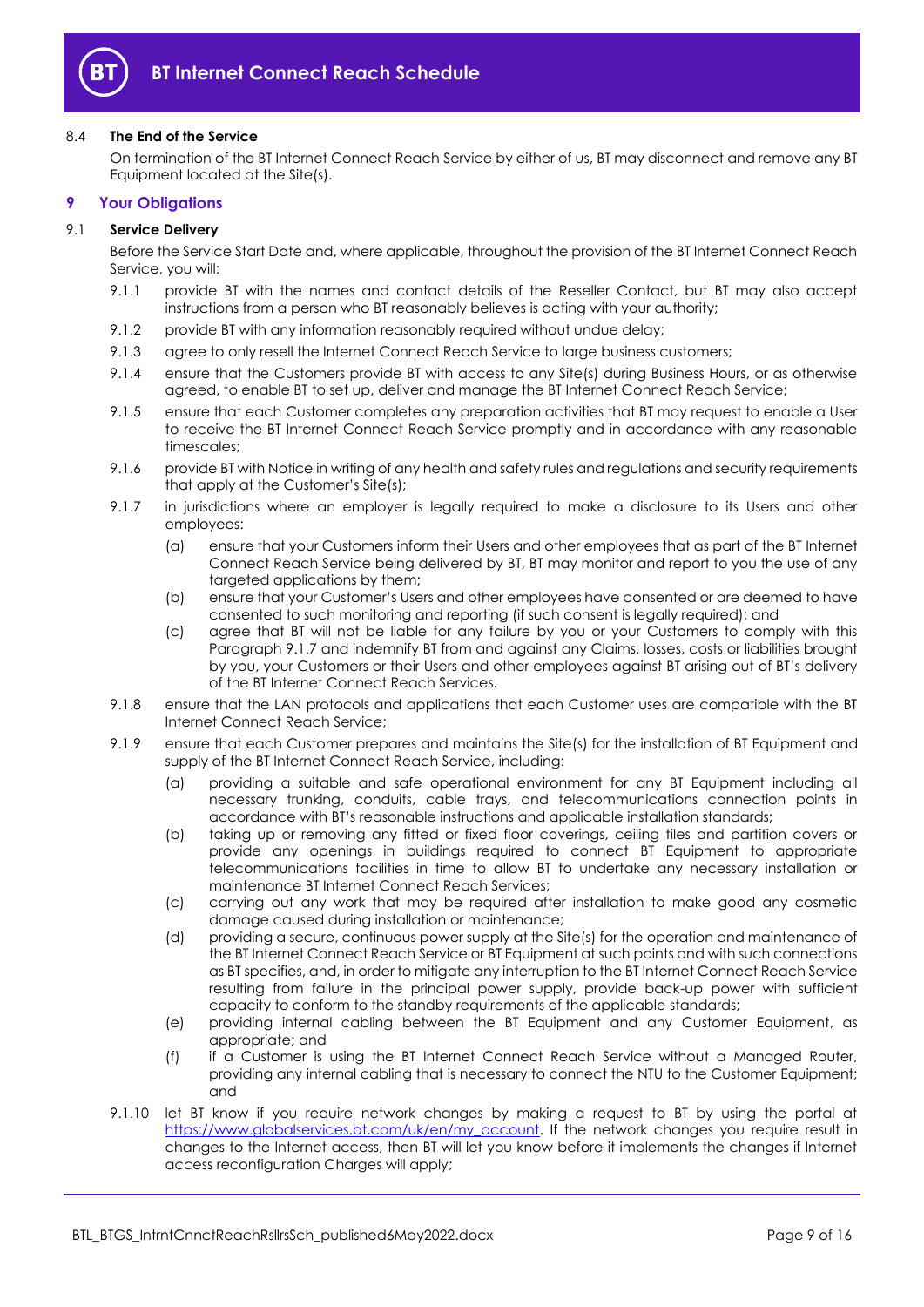

## 8.4 **The End of the Service**

On termination of the BT Internet Connect Reach Service by either of us, BT may disconnect and remove any BT Equipment located at the Site(s).

## <span id="page-8-0"></span>**9 Your Obligations**

## 9.1 **Service Delivery**

Before the Service Start Date and, where applicable, throughout the provision of the BT Internet Connect Reach Service, you will:

- 9.1.1 provide BT with the names and contact details of the Reseller Contact, but BT may also accept instructions from a person who BT reasonably believes is acting with your authority;
- 9.1.2 provide BT with any information reasonably required without undue delay;
- 9.1.3 agree to only resell the Internet Connect Reach Service to large business customers;
- 9.1.4 ensure that the Customers provide BT with access to any Site(s) during Business Hours, or as otherwise agreed, to enable BT to set up, deliver and manage the BT Internet Connect Reach Service;
- 9.1.5 ensure that each Customer completes any preparation activities that BT may request to enable a User to receive the BT Internet Connect Reach Service promptly and in accordance with any reasonable timescales;
- 9.1.6 provide BT with Notice in writing of any health and safety rules and regulations and security requirements that apply at the Customer's Site(s);
- <span id="page-8-1"></span>9.1.7 in jurisdictions where an employer is legally required to make a disclosure to its Users and other employees:
	- (a) ensure that your Customers inform their Users and other employees that as part of the BT Internet Connect Reach Service being delivered by BT, BT may monitor and report to you the use of any targeted applications by them;
	- (b) ensure that your Customer's Users and other employees have consented or are deemed to have consented to such monitoring and reporting (if such consent is legally required); and
	- (c) agree that BT will not be liable for any failure by you or your Customers to comply with this Paragraph [9.1.7](#page-8-1) and indemnify BT from and against any Claims, losses, costs or liabilities brought by you, your Customers or their Users and other employees against BT arising out of BT's delivery of the BT Internet Connect Reach Services.
- 9.1.8 ensure that the LAN protocols and applications that each Customer uses are compatible with the BT Internet Connect Reach Service;
- 9.1.9 ensure that each Customer prepares and maintains the Site(s) for the installation of BT Equipment and supply of the BT Internet Connect Reach Service, including:
	- (a) providing a suitable and safe operational environment for any BT Equipment including all necessary trunking, conduits, cable trays, and telecommunications connection points in accordance with BT's reasonable instructions and applicable installation standards;
	- (b) taking up or removing any fitted or fixed floor coverings, ceiling tiles and partition covers or provide any openings in buildings required to connect BT Equipment to appropriate telecommunications facilities in time to allow BT to undertake any necessary installation or maintenance BT Internet Connect Reach Services;
	- (c) carrying out any work that may be required after installation to make good any cosmetic damage caused during installation or maintenance;
	- (d) providing a secure, continuous power supply at the Site(s) for the operation and maintenance of the BT Internet Connect Reach Service or BT Equipment at such points and with such connections as BT specifies, and, in order to mitigate any interruption to the BT Internet Connect Reach Service resulting from failure in the principal power supply, provide back-up power with sufficient capacity to conform to the standby requirements of the applicable standards;
	- (e) providing internal cabling between the BT Equipment and any Customer Equipment, as appropriate; and
	- (f) if a Customer is using the BT Internet Connect Reach Service without a Managed Router, providing any internal cabling that is necessary to connect the NTU to the Customer Equipment; and
- 9.1.10 let BT know if you require network changes by making a request to BT by using the portal at [https://www.globalservices.bt.com/uk/en/my\\_account.](https://www.globalservices.bt.com/uk/en/my_account) If the network changes you require result in changes to the Internet access, then BT will let you know before it implements the changes if Internet access reconfiguration Charges will apply;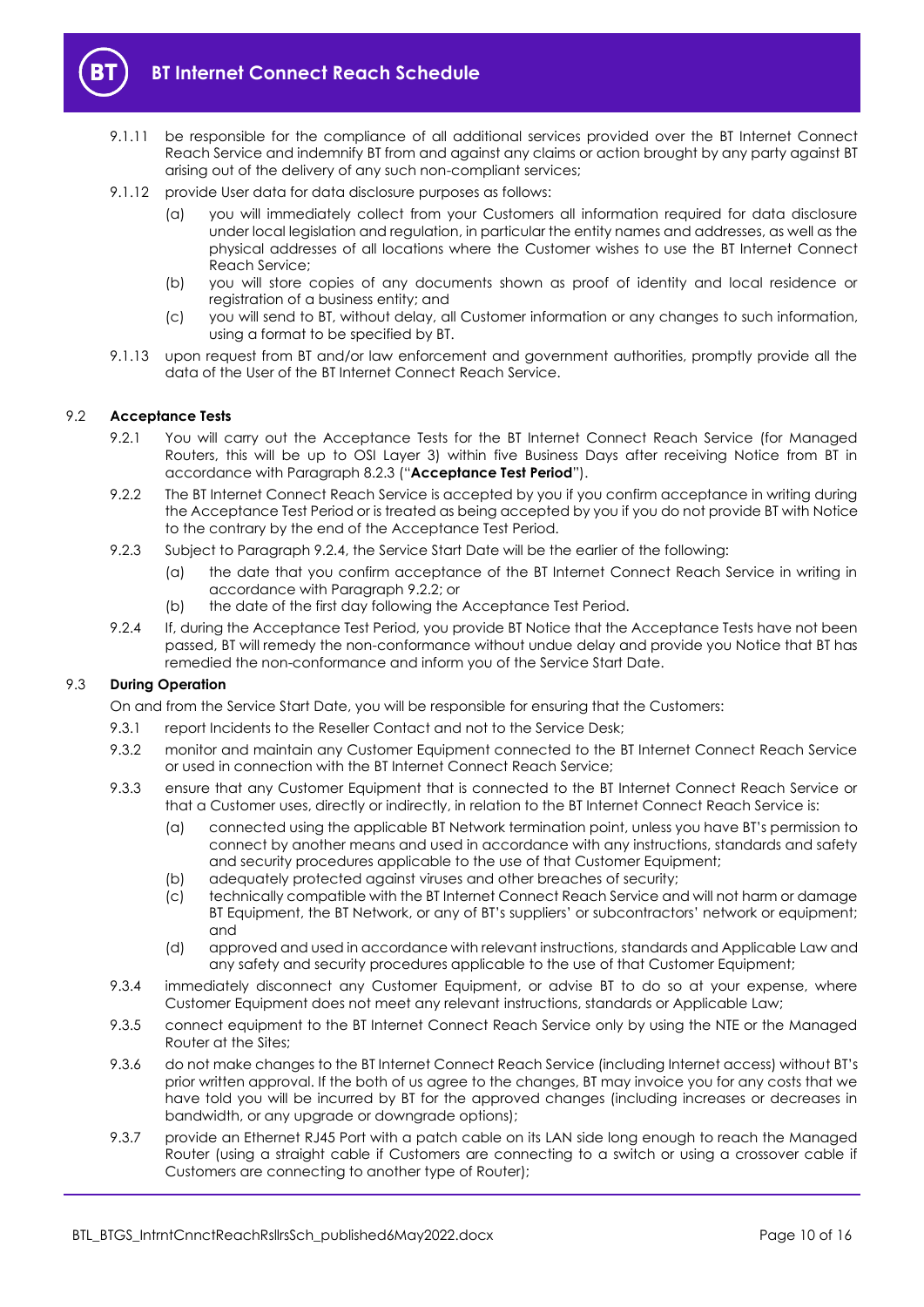

- 9.1.11 be responsible for the compliance of all additional services provided over the BT Internet Connect Reach Service and indemnify BT from and against any claims or action brought by any party against BT arising out of the delivery of any such non-compliant services;
- 9.1.12 provide User data for data disclosure purposes as follows:
	- (a) you will immediately collect from your Customers all information required for data disclosure under local legislation and regulation, in particular the entity names and addresses, as well as the physical addresses of all locations where the Customer wishes to use the BT Internet Connect Reach Service;
	- (b) you will store copies of any documents shown as proof of identity and local residence or registration of a business entity; and
	- (c) you will send to BT, without delay, all Customer information or any changes to such information, using a format to be specified by BT.
- 9.1.13 upon request from BT and/or law enforcement and government authorities, promptly provide all the data of the User of the BT Internet Connect Reach Service.

## <span id="page-9-3"></span><span id="page-9-0"></span>9.2 **Acceptance Tests**

- 9.2.1 You will carry out the Acceptance Tests for the BT Internet Connect Reach Service (for Managed Routers, this will be up to OSI Layer 3) within five Business Days after receiving Notice from BT in accordance with Paragraph [8.2.3](#page-7-3) ("**Acceptance Test Period**").
- <span id="page-9-2"></span>9.2.2 The BT Internet Connect Reach Service is accepted by you if you confirm acceptance in writing during the Acceptance Test Period or is treated as being accepted by you if you do not provide BT with Notice to the contrary by the end of the Acceptance Test Period.
- 9.2.3 Subject to Paragraph [9.2.4,](#page-9-1) the Service Start Date will be the earlier of the following:
	- (a) the date that you confirm acceptance of the BT Internet Connect Reach Service in writing in accordance with Paragrap[h 9.2.2;](#page-9-2) or
	- (b) the date of the first day following the Acceptance Test Period.
- <span id="page-9-1"></span>9.2.4 If, during the Acceptance Test Period, you provide BT Notice that the Acceptance Tests have not been passed, BT will remedy the non-conformance without undue delay and provide you Notice that BT has remedied the non-conformance and inform you of the Service Start Date.

## 9.3 **During Operation**

On and from the Service Start Date, you will be responsible for ensuring that the Customers:

- 9.3.1 report Incidents to the Reseller Contact and not to the Service Desk:
- 9.3.2 monitor and maintain any Customer Equipment connected to the BT Internet Connect Reach Service or used in connection with the BT Internet Connect Reach Service;
- 9.3.3 ensure that any Customer Equipment that is connected to the BT Internet Connect Reach Service or that a Customer uses, directly or indirectly, in relation to the BT Internet Connect Reach Service is:
	- (a) connected using the applicable BT Network termination point, unless you have BT's permission to connect by another means and used in accordance with any instructions, standards and safety and security procedures applicable to the use of that Customer Equipment;
	- (b) adequately protected against viruses and other breaches of security;
	- (c) technically compatible with the BT Internet Connect Reach Service and will not harm or damage BT Equipment, the BT Network, or any of BT's suppliers' or subcontractors' network or equipment; and
	- (d) approved and used in accordance with relevant instructions, standards and Applicable Law and any safety and security procedures applicable to the use of that Customer Equipment;
- 9.3.4 immediately disconnect any Customer Equipment, or advise BT to do so at your expense, where Customer Equipment does not meet any relevant instructions, standards or Applicable Law;
- 9.3.5 connect equipment to the BT Internet Connect Reach Service only by using the NTE or the Managed Router at the Sites;
- 9.3.6 do not make changes to the BT Internet Connect Reach Service (including Internet access) without BT's prior written approval. If the both of us agree to the changes, BT may invoice you for any costs that we have told you will be incurred by BT for the approved changes (including increases or decreases in bandwidth, or any upgrade or downgrade options);
- 9.3.7 provide an Ethernet RJ45 Port with a patch cable on its LAN side long enough to reach the Managed Router (using a straight cable if Customers are connecting to a switch or using a crossover cable if Customers are connecting to another type of Router);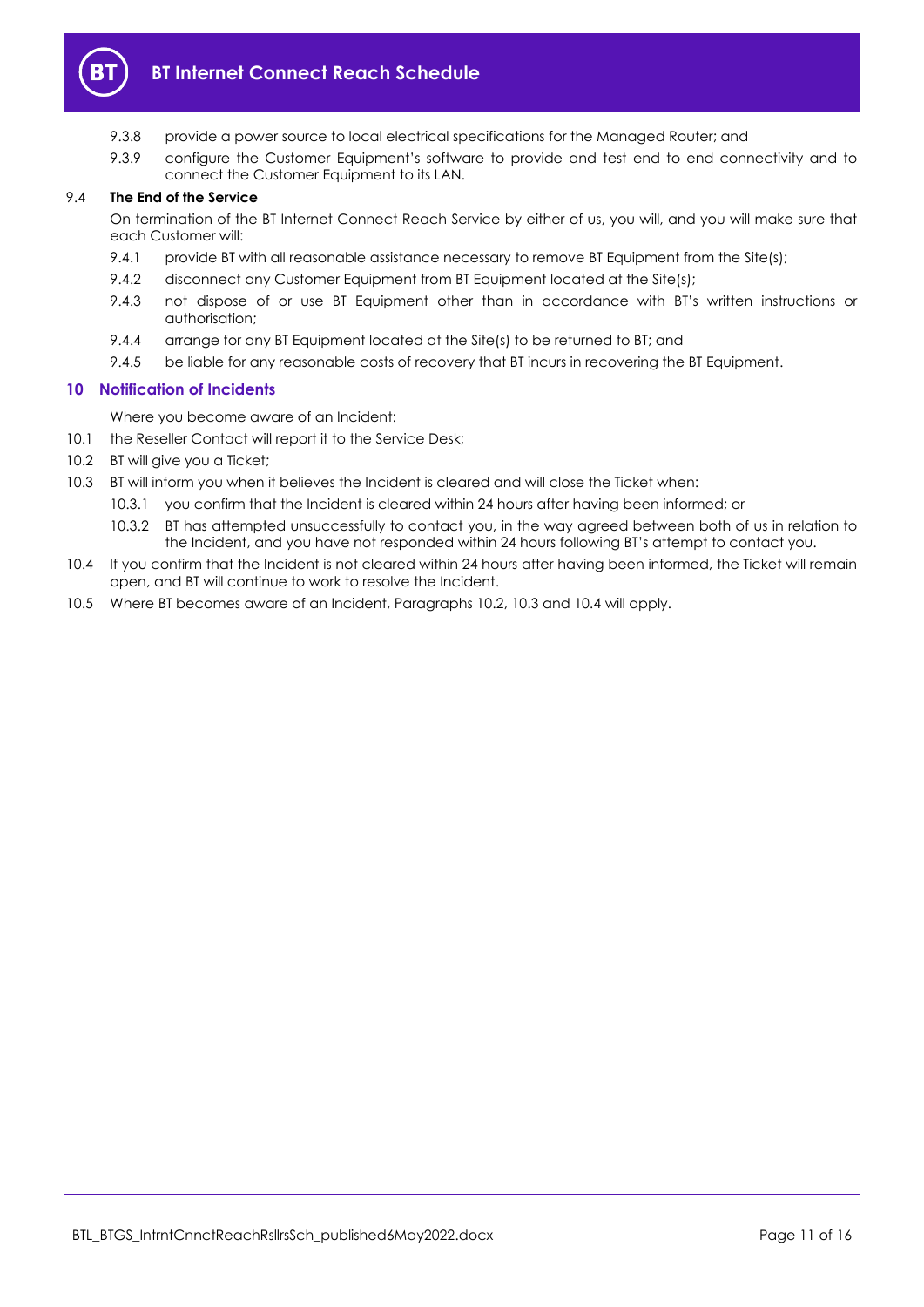

- 9.3.8 provide a power source to local electrical specifications for the Managed Router; and
- 9.3.9 configure the Customer Equipment's software to provide and test end to end connectivity and to connect the Customer Equipment to its LAN.

## 9.4 **The End of the Service**

On termination of the BT Internet Connect Reach Service by either of us, you will, and you will make sure that each Customer will:

- 9.4.1 provide BT with all reasonable assistance necessary to remove BT Equipment from the Site(s);
- 9.4.2 disconnect any Customer Equipment from BT Equipment located at the Site(s);
- 9.4.3 not dispose of or use BT Equipment other than in accordance with BT's written instructions or authorisation;
- 9.4.4 arrange for any BT Equipment located at the Site(s) to be returned to BT; and
- 9.4.5 be liable for any reasonable costs of recovery that BT incurs in recovering the BT Equipment.

## <span id="page-10-0"></span>**10 Notification of Incidents**

Where you become aware of an Incident:

- 10.1 the Reseller Contact will report it to the Service Desk;
- <span id="page-10-1"></span>10.2 BT will give you a Ticket;
- <span id="page-10-2"></span>10.3 BT will inform you when it believes the Incident is cleared and will close the Ticket when:
	- 10.3.1 you confirm that the Incident is cleared within 24 hours after having been informed; or
		- 10.3.2 BT has attempted unsuccessfully to contact you, in the way agreed between both of us in relation to the Incident, and you have not responded within 24 hours following BT's attempt to contact you.
- <span id="page-10-3"></span>10.4 If you confirm that the Incident is not cleared within 24 hours after having been informed, the Ticket will remain open, and BT will continue to work to resolve the Incident.
- 10.5 Where BT becomes aware of an Incident, Paragraphs [10.2,](#page-10-1) [10.3](#page-10-2) and [10.4](#page-10-3) will apply.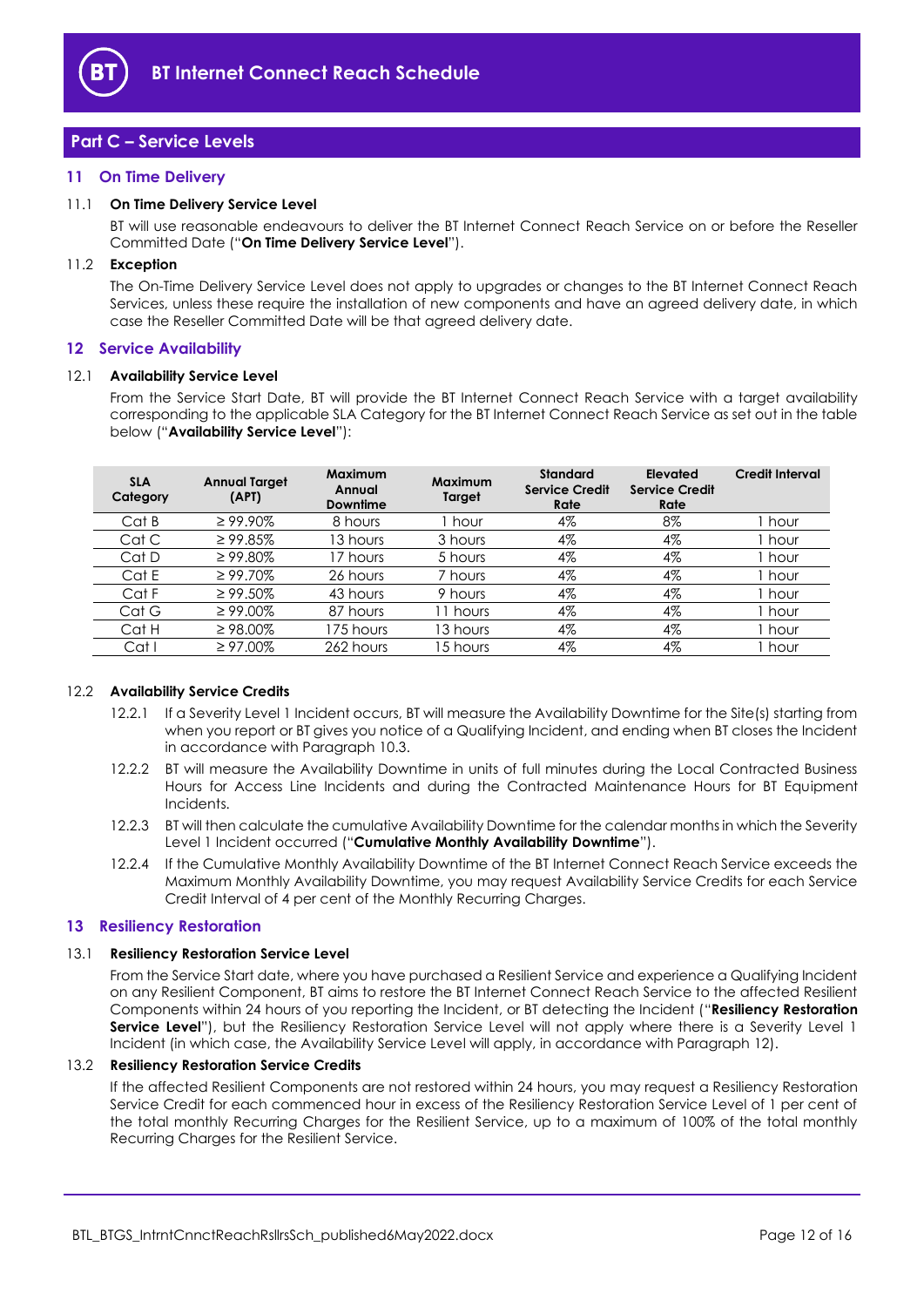

# <span id="page-11-0"></span>**Part C – Service Levels**

## <span id="page-11-1"></span>**11 On Time Delivery**

## <span id="page-11-8"></span>11.1 **On Time Delivery Service Level**

BT will use reasonable endeavours to deliver the BT Internet Connect Reach Service on or before the Reseller Committed Date ("**On Time Delivery Service Level**").

#### 11.2 **Exception**

The On-Time Delivery Service Level does not apply to upgrades or changes to the BT Internet Connect Reach Services, unless these require the installation of new components and have an agreed delivery date, in which case the Reseller Committed Date will be that agreed delivery date.

#### <span id="page-11-2"></span>**12 Service Availability**

#### <span id="page-11-4"></span>12.1 **Availability Service Level**

From the Service Start Date, BT will provide the BT Internet Connect Reach Service with a target availability corresponding to the applicable SLA Category for the BT Internet Connect Reach Service as set out in the table below ("**Availability Service Level**"):

| <b>Credit Interval</b> |
|------------------------|
| hour                   |
| l hour                 |
| ı hour                 |
| i hour                 |
| l hour                 |
| ı hour                 |
| ı hour                 |
| hour                   |
|                        |

#### <span id="page-11-5"></span>12.2 **Availability Service Credits**

- 12.2.1 If a Severity Level 1 Incident occurs, BT will measure the Availability Downtime for the Site(s) starting from when you report or BT gives you notice of a Qualifying Incident, and ending when BT closes the Incident in accordance with Paragraph [10.3.](#page-10-2)
- 12.2.2 BT will measure the Availability Downtime in units of full minutes during the Local Contracted Business Hours for Access Line Incidents and during the Contracted Maintenance Hours for BT Equipment Incidents.
- <span id="page-11-7"></span>12.2.3 BT will then calculate the cumulative Availability Downtime for the calendar months in which the Severity Level 1 Incident occurred ("**Cumulative Monthly Availability Downtime**").
- <span id="page-11-6"></span>12.2.4 If the Cumulative Monthly Availability Downtime of the BT Internet Connect Reach Service exceeds the Maximum Monthly Availability Downtime, you may request Availability Service Credits for each Service Credit Interval of 4 per cent of the Monthly Recurring Charges.

## <span id="page-11-3"></span>**13 Resiliency Restoration**

#### <span id="page-11-9"></span>13.1 **Resiliency Restoration Service Level**

From the Service Start date, where you have purchased a Resilient Service and experience a Qualifying Incident on any Resilient Component, BT aims to restore the BT Internet Connect Reach Service to the affected Resilient Components within 24 hours of you reporting the Incident, or BT detecting the Incident ("**Resiliency Restoration Service Level**"), but the Resiliency Restoration Service Level will not apply where there is a Severity Level 1 Incident (in which case, the Availability Service Level will apply, in accordance with Paragraph [12\)](#page-11-2).

#### 13.2 **Resiliency Restoration Service Credits**

If the affected Resilient Components are not restored within 24 hours, you may request a Resiliency Restoration Service Credit for each commenced hour in excess of the Resiliency Restoration Service Level of 1 per cent of the total monthly Recurring Charges for the Resilient Service, up to a maximum of 100% of the total monthly Recurring Charges for the Resilient Service.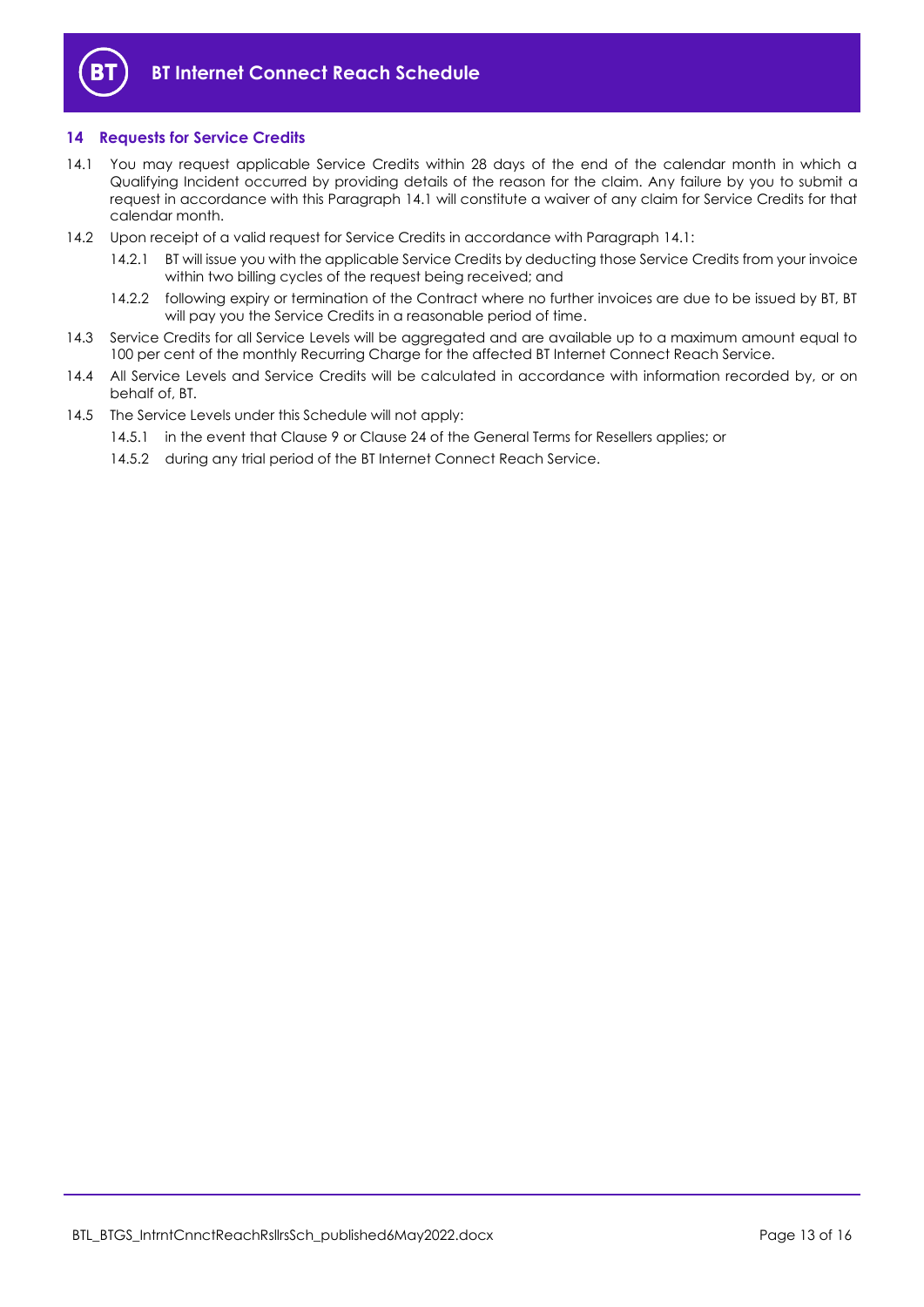

## <span id="page-12-0"></span>**14 Requests for Service Credits**

- <span id="page-12-1"></span>14.1 You may request applicable Service Credits within 28 days of the end of the calendar month in which a Qualifying Incident occurred by providing details of the reason for the claim. Any failure by you to submit a request in accordance with this Paragraph [14.1](#page-12-1) will constitute a waiver of any claim for Service Credits for that calendar month.
- 14.2 Upon receipt of a valid request for Service Credits in accordance with Paragraph [14.1:](#page-12-1)
	- 14.2.1 BT will issue you with the applicable Service Credits by deducting those Service Credits from your invoice within two billing cycles of the request being received; and
	- 14.2.2 following expiry or termination of the Contract where no further invoices are due to be issued by BT, BT will pay you the Service Credits in a reasonable period of time.
- 14.3 Service Credits for all Service Levels will be aggregated and are available up to a maximum amount equal to 100 per cent of the monthly Recurring Charge for the affected BT Internet Connect Reach Service.
- 14.4 All Service Levels and Service Credits will be calculated in accordance with information recorded by, or on behalf of, BT.
- 14.5 The Service Levels under this Schedule will not apply:
	- 14.5.1 in the event that Clause 9 or Clause 24 of the General Terms for Resellers applies; or
	- 14.5.2 during any trial period of the BT Internet Connect Reach Service.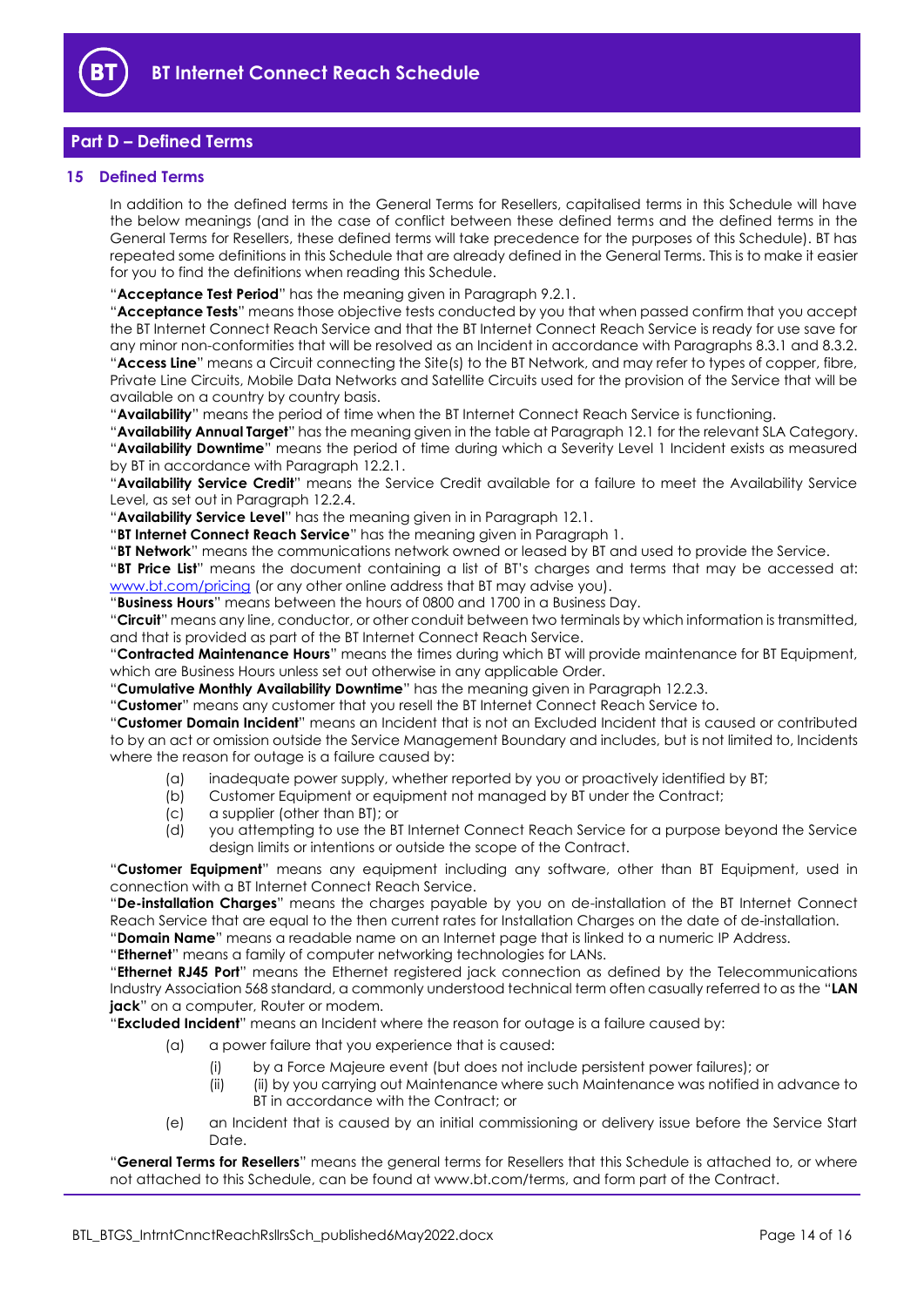

# <span id="page-13-0"></span>**Part D – Defined Terms**

## <span id="page-13-1"></span>**15 Defined Terms**

In addition to the defined terms in the General Terms for Resellers, capitalised terms in this Schedule will have the below meanings (and in the case of conflict between these defined terms and the defined terms in the General Terms for Resellers, these defined terms will take precedence for the purposes of this Schedule). BT has repeated some definitions in this Schedule that are already defined in the General Terms. This is to make it easier for you to find the definitions when reading this Schedule.

"**Acceptance Test Period**" has the meaning given in Paragrap[h 9.2.1.](#page-9-3)

"**Acceptance Tests**" means those objective tests conducted by you that when passed confirm that you accept the BT Internet Connect Reach Service and that the BT Internet Connect Reach Service is ready for use save for any minor non-conformities that will be resolved as an Incident in accordance with Paragraphs [8.3.1](#page-7-4) and [8.3.2.](#page-7-5) "**Access Line**" means a Circuit connecting the Site(s) to the BT Network, and may refer to types of copper, fibre, Private Line Circuits, Mobile Data Networks and Satellite Circuits used for the provision of the Service that will be available on a country by country basis.

"**Availability**" means the period of time when the BT Internet Connect Reach Service is functioning.

"**Availability Annual Target**" has the meaning given in the table at Paragraph [12.1](#page-11-4) for the relevant SLA Category. "**Availability Downtime**" means the period of time during which a Severity Level 1 Incident exists as measured by BT in accordance with Paragrap[h 12.2.1.](#page-11-5)

"**Availability Service Credit**" means the Service Credit available for a failure to meet the Availability Service Level, as set out in Paragrap[h 12.2.4.](#page-11-6)

"**Availability Service Level**" has the meaning given in in Paragraph [12.1.](#page-11-4)

"**BT Internet Connect Reach Service**" has the meaning given in Paragrap[h 1.](#page-1-3)

"**BT Network**" means the communications network owned or leased by BT and used to provide the Service.

"**BT Price List**" means the document containing a list of BT's charges and terms that may be accessed at: [www.bt.com/pricing](http://www.bt.com/pricing) (or any other online address that BT may advise you).

"**Business Hours**" means between the hours of 0800 and 1700 in a Business Day.

"**Circuit**" means any line, conductor, or other conduit between two terminals by which information is transmitted, and that is provided as part of the BT Internet Connect Reach Service.

"**Contracted Maintenance Hours**" means the times during which BT will provide maintenance for BT Equipment, which are Business Hours unless set out otherwise in any applicable Order.

"**Cumulative Monthly Availability Downtime**" has the meaning given in Paragrap[h 12.2.3.](#page-11-7)

"**Customer**" means any customer that you resell the BT Internet Connect Reach Service to.

"**Customer Domain Incident**" means an Incident that is not an Excluded Incident that is caused or contributed to by an act or omission outside the Service Management Boundary and includes, but is not limited to, Incidents where the reason for outage is a failure caused by:

- (a) inadequate power supply, whether reported by you or proactively identified by BT;
- (b) Customer Equipment or equipment not managed by BT under the Contract;
- (c) a supplier (other than BT); or
- (d) you attempting to use the BT Internet Connect Reach Service for a purpose beyond the Service design limits or intentions or outside the scope of the Contract.

"**Customer Equipment**" means any equipment including any software, other than BT Equipment, used in connection with a BT Internet Connect Reach Service.

"**De-installation Charges**" means the charges payable by you on de-installation of the BT Internet Connect Reach Service that are equal to the then current rates for Installation Charges on the date of de-installation.

"**Domain Name**" means a readable name on an Internet page that is linked to a numeric IP Address.

"**Ethernet**" means a family of computer networking technologies for LANs.

"**Ethernet RJ45 Port**" means the Ethernet registered jack connection as defined by the Telecommunications Industry Association 568 standard, a commonly understood technical term often casually referred to as the "**LAN jack**" on a computer, Router or modem.

"**Excluded Incident**" means an Incident where the reason for outage is a failure caused by:

- (a) a power failure that you experience that is caused:
	- (i) by a Force Majeure event (but does not include persistent power failures); or
	- (ii) (ii) by you carrying out Maintenance where such Maintenance was notified in advance to BT in accordance with the Contract; or
- (e) an Incident that is caused by an initial commissioning or delivery issue before the Service Start Date.

"**General Terms for Resellers**" means the general terms for Resellers that this Schedule is attached to, or where not attached to this Schedule, can be found at www.bt.com/terms, and form part of the Contract.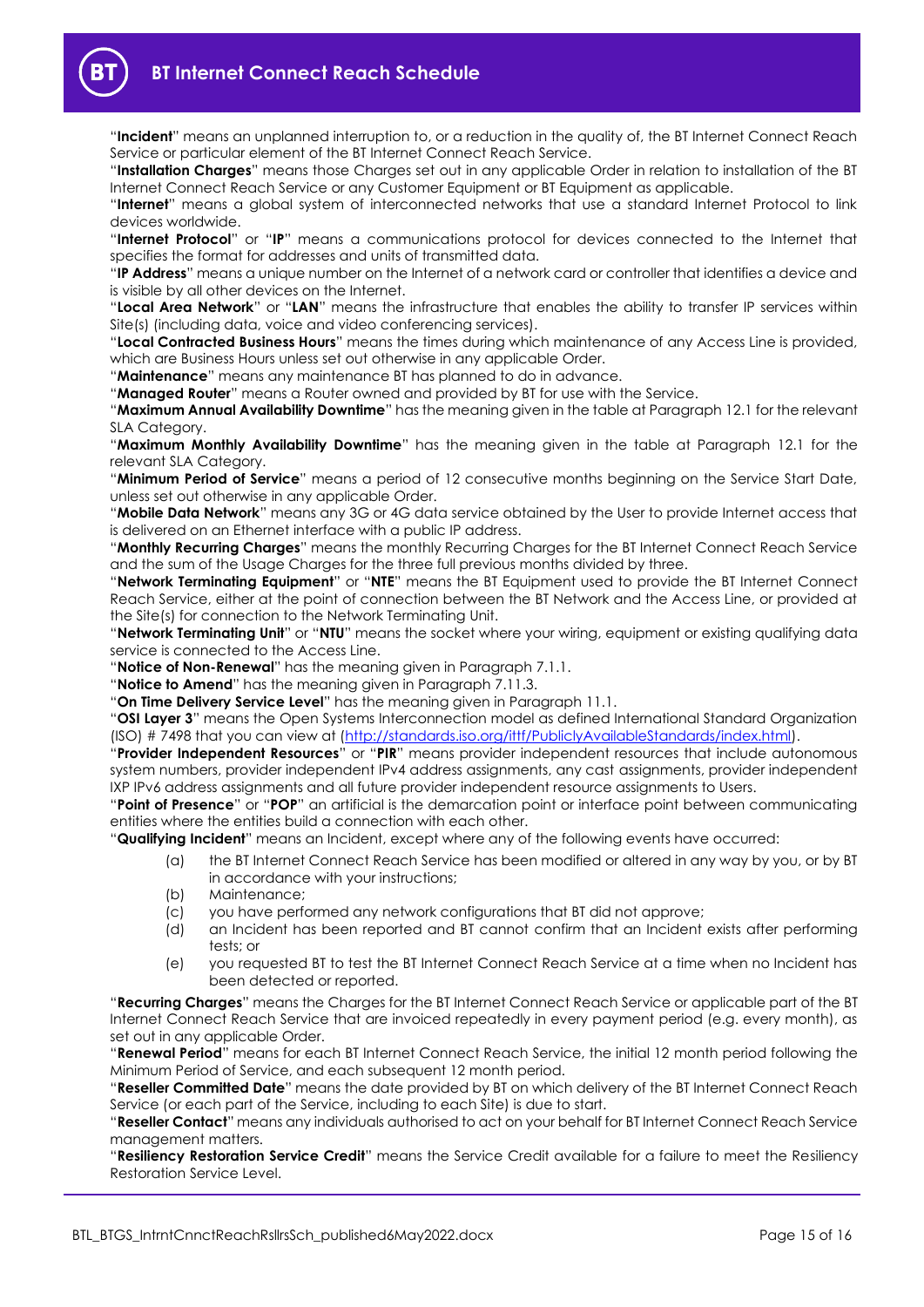"**Incident**" means an unplanned interruption to, or a reduction in the quality of, the BT Internet Connect Reach Service or particular element of the BT Internet Connect Reach Service.

"**Installation Charges**" means those Charges set out in any applicable Order in relation to installation of the BT Internet Connect Reach Service or any Customer Equipment or BT Equipment as applicable.

"**Internet**" means a global system of interconnected networks that use a standard Internet Protocol to link devices worldwide.

"**Internet Protocol**" or "**IP**" means a communications protocol for devices connected to the Internet that specifies the format for addresses and units of transmitted data.

"**IP Address**" means a unique number on the Internet of a network card or controller that identifies a device and is visible by all other devices on the Internet.

"**Local Area Network**" or "**LAN**" means the infrastructure that enables the ability to transfer IP services within Site(s) (including data, voice and video conferencing services).

"**Local Contracted Business Hours**" means the times during which maintenance of any Access Line is provided, which are Business Hours unless set out otherwise in any applicable Order.

"**Maintenance**" means any maintenance BT has planned to do in advance.

"**Managed Router**" means a Router owned and provided by BT for use with the Service.

"**Maximum Annual Availability Downtime**" has the meaning given in the table at Paragrap[h 12.1](#page-11-4) for the relevant SLA Category.

"**Maximum Monthly Availability Downtime**" has the meaning given in the table at Paragraph [12.1](#page-11-4) for the relevant SLA Category.

"**Minimum Period of Service**" means a period of 12 consecutive months beginning on the Service Start Date, unless set out otherwise in any applicable Order.

"**Mobile Data Network**" means any 3G or 4G data service obtained by the User to provide Internet access that is delivered on an Ethernet interface with a public IP address.

"**Monthly Recurring Charges**" means the monthly Recurring Charges for the BT Internet Connect Reach Service and the sum of the Usage Charges for the three full previous months divided by three.

"**Network Terminating Equipment**" or "**NTE**" means the BT Equipment used to provide the BT Internet Connect Reach Service, either at the point of connection between the BT Network and the Access Line, or provided at the Site(s) for connection to the Network Terminating Unit.

"**Network Terminating Unit**" or "**NTU**" means the socket where your wiring, equipment or existing qualifying data service is connected to the Access Line.

"**Notice of Non-Renewal**" has the meaning given in Paragraph [7.1.1.](#page-3-4)

"**Notice to Amend**" has the meaning given in Paragraph [7.11.3.](#page-6-1)

"**On Time Delivery Service Level**" has the meaning given in Paragrap[h 11.1.](#page-11-8)

"**OSI Layer 3**" means the Open Systems Interconnection model as defined International Standard Organization (ISO) # 7498 that you can view at [\(http://standards.iso.org/ittf/PubliclyAvailableStandards/index.html\)](http://standards.iso.org/ittf/PubliclyAvailableStandards/index.html).

"**Provider Independent Resources**" or "**PIR**" means provider independent resources that include autonomous system numbers, provider independent IPv4 address assignments, any cast assignments, provider independent IXP IPv6 address assignments and all future provider independent resource assignments to Users.

"**Point of Presence**" or "**POP**" an artificial is the demarcation point or interface point between communicating entities where the entities build a connection with each other.

"**Qualifying Incident**" means an Incident, except where any of the following events have occurred:

- (a) the BT Internet Connect Reach Service has been modified or altered in any way by you, or by BT in accordance with your instructions;
- (b) Maintenance;
- (c) you have performed any network configurations that BT did not approve;
- (d) an Incident has been reported and BT cannot confirm that an Incident exists after performing tests; or
- (e) you requested BT to test the BT Internet Connect Reach Service at a time when no Incident has been detected or reported.

"**Recurring Charges**" means the Charges for the BT Internet Connect Reach Service or applicable part of the BT Internet Connect Reach Service that are invoiced repeatedly in every payment period (e.g. every month), as set out in any applicable Order.

"**Renewal Period**" means for each BT Internet Connect Reach Service, the initial 12 month period following the Minimum Period of Service, and each subsequent 12 month period.

"**Reseller Committed Date**" means the date provided by BT on which delivery of the BT Internet Connect Reach Service (or each part of the Service, including to each Site) is due to start.

"**Reseller Contact**" means any individuals authorised to act on your behalf for BT Internet Connect Reach Service management matters.

"**Resiliency Restoration Service Credit**" means the Service Credit available for a failure to meet the Resiliency Restoration Service Level.